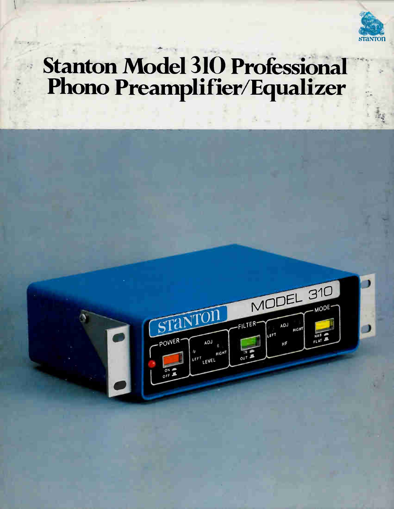

## **Stanton Model 310 Professional** Phono Preamplifier/Equalizer